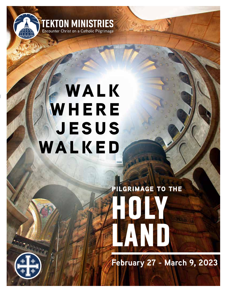

# **WALK WHERE jesus walked**

# **HOLY LAND pilgrimage to the**

**February 27 - March 9, 2023**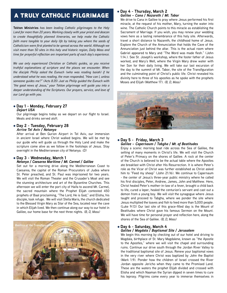# a truly catholic pilgrimage

**Tekton Ministries** *has been leading Catholic pilgrimages to the Holy Land for more than 20 years. Working closely with your priest and deacon to create thoughtfully planned itineraries, we help make the Catholic faith more tangible to your daily life by taking you where the seeds of Catholicism were first planted to be spread across the world. Although we visit more than 50 sites in this holy and historic region, Daily Mass and time for prayerful reflection are important parts of each day's experience.*

*We use only experienced Christian or Catholic guides, so you receive truthful explanations of scripture and the places we encounter. When the disciple Philip asked the Eunuch (who was reading Isaiah) if he understood what he was reading, the man responded, "How can I, unless someone guides me?" (Acts 8:35) Just as Philip guided the Eunuch with "the good news of Jesus," your Tekton pilgrimage will guide you into a deeper understanding of the Scriptures. Our prayers, service, and love of our Lord go with you.*

# l **Day 1 - Monday, February 27** *Depart USA*

Our pilgrimage begins today as we depart on our flight to Israel. Meals and drinks served aloft.

l **Day 2 - Tuesday, February 28** *Arrive Tel Aviv / Netanya*

After arrival at Ben Gurion Airport in Tel Aviv, our immersion in ancient Israel where Christ walked begins. We will be met by our guide who will guide us through the Holy Land and make the scripture come alive as we follow in the footsteps of Jesus. Stay overnight in the Mediterranean city of Netanya. *(D)*

# l **Day 3 - Wednesday, March 1**

#### *Netanya / Caesarea Maritime / Mt. Carmel / Galilee*

Set out for a morning drive along the Mediterranean Coast to Caesarea, the capital of the Roman Procurators of Judea where St. Peter preached, and St. Paul was imprisoned for two years. We will visit the Roman Theater and the Crusader's Moat and see the stunning architecture and art of the Byzantine Churches. This afternoon we will enter the port city of Haifa to ascend Mt. Carmel, the sacred mountain where the Prophet Elijah contested 450 prophets of Baal proclaiming, "The Lord, He is God," and Elisha, his disciple, took refuge. We will visit Stella Maris, the church dedicated to the Blessed Virgin Mary as Star of the Sea, located near the cave in which Elijah lived. We then continue along our way to our hotel in Galilee, our home base for the next three nights. *(B, D, Mass)*



## l **Day 4 - Thursday, March 2** *Galilee – Cana / Nazareth / Mt. Tabor*

We drive to Cana in Galilee to pray where Jesus performed his first miracle, at the request of his mother, Mary, turning the water into wine. The Catholic Church points to this miracle as establishing the Sacrament of Marriage. If you wish, you may renew your wedding vows here as a lasting remembrance of this holy site. Afterwards, travel a short distance to Nazareth, the childhood home of Jesus. Explore the Church of the Annunciation that holds the Cave of the Annunciation just behind the altar. This is the actual room where Gabriel appeared to Mary and "The Word was made flesh." (John 1:14.). See St. Joseph's workshop, where the foster father of Jesus worked, and Mary's Well, where the Virgin Mary drew water with her Son for their daily living. We will take our last excursion of the day to the summit of Mt. Tabor, the site of the Transfiguration and the culminating point of Christ's public life. Christ revealed his divinity here to three of his apostles as he spoke with the prophets Moses and Elijah (Matthew 17). *(B, D, Mass)*



### l **Day 5 - Friday, March 3** *Galilee – Capernaum / Tabgha / Mt. of Beatitudes*

Enjoy a scenic morning boat ride across the Sea of Galilee, the setting of many moments in Christ's life. We will visit the Church of Peter's Primacy on the shores of Galilee. A rock at the center of the Church is believed to be the actual table where the Apostles ate breakfast with Christ after His Resurrection. It is where Peter's role as the Vicar of Christ was further established as Christ asked him to "Feed my sheep" (John 21:16). We continue to Capernaum - the center of Jesus's three-year public ministry where he called his first disciples, Peter, Andrew, James, John and Matthew. Here, Christ healed Peter's mother-in-law of a fever, brought a child back to life, cured a leper, healed the centurion's servant and cast out a demon from a young boy. We will visit the synagogue where Jesus taught and proceed to Tabgha, where we ponder the site where Jesus multiplied the loaves and fish to feed more than 5,000 people. (Luke 9:13) Our last site of this grace-filled day is the Mount of Beatitudes where Christ gave his famous Sermon on the Mount. We will have time for personal prayer and reflection here, along the shores of the Sea of Galilee. *(B, D, Mass)*

# l **Day 6 - Saturday, March 4**

# *Galilee / Magdala / Baptismal Site / Jerusalem*

We begin this morning by checking out of our hotel and driving to Magdala, birthplace of St. Mary Magdalene, known as "the Apostle to the Apostles," where we will visit the chapel and surrounding ruins. Continue our drive south through the Jordan River Valley to the traditional baptismal site of Jesus. Renew your baptismal vows in the very river where Christ was baptized by John the Baptist (Mark 1:9). Ponder how the children of Israel crossed the River Jordan opposite Jericho when they came to the Promised Land. These are the waters the prophet Elijah divided and crossed with Elisha and which Naaman the Syrian dipped in seven times to cure his leprosy. Pilgrims come every year to immerse themselves in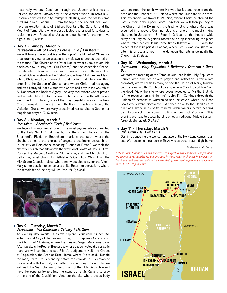these holy waters. Continue through the Judean wilderness to Jericho, the oldest known city in the Western world. In 1250 B.C., Joshua encircled the city, trumpets blasting, and the walls came tumbling down (Joshua 6). From the top of the ancient "tel," we'll have an excellent view of Elisha's Fountain, the Qarantal and the Mount of Temptation, where Jesus fasted and prayed forty days to resist the devil. Proceed to Jerusalem, our home for the next five nights. *(B, D, Mass)*

## l **Day 7 - Sunday, March 5**

# *Jerusalem – Mt. of Olives / Gethsemane / Ein Karem*

We will take a morning drive to the top of the Mount of Olives for a panoramic view of Jerusalem and visit two churches located on the mount: The Church of the Pater Noster where Jesus taught his disciples how to pray the "Our Father," and the Ascension Chapel, the site where Jesus ascended into Heaven. Descend the mount on the path Christ walked on the "Palm Sunday Road" to Dominus Flevit, where Christ wept over Jerusalem and her future destruction. Then enter into the Garden of Gethsemane where Christ had his agony and was betrayed. Keep watch with Christ and pray in the Church of All Nations at the Rock of Agony, the very rock where Christ prayed and sweated blood before he was to be crucified. In the afternoon, we drive to Ein Karem, one of the most beautiful sites in the New City of Jerusalem where St. John the Baptist was born. Pray at the Visitation Church where Mary proclaimed her service to God in her Magnificat prayer. *(B, D, Mass)*

#### l **Day 8 - Monday, March 6** *Jerusalem – Shepherd's Fields / Bethlehem*

We begin this morning at one of the most joyous sites connected to the Holy Night Christ was born - the church located in the Shepherd's Fields in Bethlehem, marking the spot where the shepherds heard the chorus of angels proclaiming Jesus' birth. In the city of Bethlehem, meaning "House of Bread," we visit the Nativity Church that sits above the traditional Grotto of Jesus' Birth. Ponder the Manger, Grotto of St. Jerome, and the Church of St. Catherine, parish church for Bethlehem's Catholics. We will visit the Milk Grotto Chapel, a place where many couples pray for the Virgin Mary's intercession to conceive a child. Return to Jerusalem, where the remainder of the day will be free. *(B, D, Mass)*



#### l **Day 9 - Tuesday, March 7** *Jerusalem – Via Dolorosa / Calvary / Mt. Zion*

An exciting day awaits us as we explore Jerusalem further. We enter the Old City of Jerusalem through St. Stephen's Gate to visit the Church of St. Anne, where the Blessed Virgin Mary was born. Afterwards, is the Pool of Bethesda, where Jesus healed the paralytic man. We will continue to see Pilate's Judgement Hall, the Chapel of Flagellation, the Arch of Ecce Homo, where Pilate said, "Behold the man," with Jesus standing before the crowds in His crown of thorns and with His body torn after his scourging. Prayerfully, we will walk the Via Dolorosa to the Church of the Holy Sepulchre and have the opportunity to climb the steps up to Mt. Calvary to pray will walk the Via Dolorosa to the Church of the Holy Sepulchre and<br>have the opportunity to climb the steps up to Mt. Calvary to pray<br>at the site of the Crucifixion. Venerate the site where Jesus body **ISRAEL** 

was anointed, the tomb where He was buried and rose from the dead and the Chapel of St. Helena where she found the true cross. This afternoon, we travel to Mt. Zion, where Christ celebrated the Last Supper in the Upper Room. Together we will then journey to the Church of the Dormition, the traditional site where Mary was assumed into heaven. Our final stop is at one of the most striking churches in Jerusalem –St. Peter in Gallicantu– that hosts a wide array of art styles. A golden rooster sits atop it recalling the place where Peter denied Jesus three times (Matthew 26). It was the palace of the high priest Caiaphas, where Jesus was brought to jail after his arrest and kept in the dungeon that sits underneath the Church. *(B, D, Mass)*

#### l **Day 10 - Wednesday, March 8**

#### *Jerusalem – Holy Sepulchre / Bethany / Qumran / Dead Sea*

We start the morning at the Tomb of Our Lord in the Holy Sepulchre Church with time for private prayer and reflection. After a late breakfast, we will visit Bethany to see the House of Mary, Martha, and Lazarus and the Tomb of Lazarus where Christ raised him from the dead. View the site where Jesus revealed to Martha that He is "the resurrection and the life" (John 11). Continue through the Judean Wilderness to Qumran to see the caves where the Dead Sea Scrolls were discovered. We then drive to the Dead Sea to float and swim in its salty, mineral laden waters before heading back to Jerusalem for some free time on our final afternoon. This evening we head to a local hotel to enjoy a traditional Middle Eastern farewell dinner. *(B, D, Mass)*

#### l **Day 11 - Thursday, March 9** *Jerusalem / Tel Aviv / USA*

Our time pondering the wonder and awe of the Holy Land comes to an end. We transfer to the airport in Tel Aviv to catch our return flight home.

#### *B=Breakfast D=Dinner*

*Prease note that all rates and services are subject to availability and confirmation* **We cannot be responsible for any increase in these rates or changes in services or** *philippine in the exponsible for any increase in these rates or enarges in services or* **elasting that flight and land arrangements in the event that government regulations change due** *\* Please note that all rates and services are subject to availability and confirmation. to the COVID-19 pandemic.*